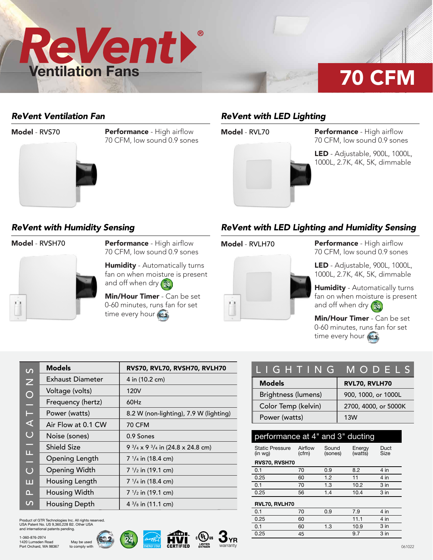

# 70 CFM

### *ReVent Ventilation Fan*



Model - RVS70 **Performance** - High airflow **Model - RVL70** 70 CFM, low sound 0.9 sones

### *ReVent with LED Lighting*



Performance - High airflow 70 CFM, low sound 0.9 sones

LED - Adjustable, 900L, 1000L, 1000L, 2.7K, 4K, 5K, dimmable

### *ReVent with Humidity Sensing*



**Model - RVSH70 Model - Performance - High airflow Model - RVLH70** 70 CFM, low sound 0.9 sones

> **Humidity** - Automatically turns fan on when moisture is present and off when dry (24)

Min/Hour Timer - Can be set 0-60 minutes, runs fan for set time every hour (622)

### *ReVent with LED Lighting and Humidity Sensing*



Performance - High airflow 70 CFM, low sound 0.9 sones

LED - Adjustable, 900L, 1000L, 1000L, 2.7K, 4K, 5K, dimmable

Humidity - Automatically turns fan on when moisture is present and off when dry  $\left(\frac{m}{24}\right)$ 

Min/Hour Timer - Can be set 0-60 minutes, runs fan for set time every hour (622)

| $\overline{C}$ | <b>Models</b>        | RVS70, RVL70, RVSH70, RVLH70                          |
|----------------|----------------------|-------------------------------------------------------|
| $\overline{z}$ | Exhaust Diameter     | 4 in (10.2 cm)                                        |
| $\bigcirc$     | Voltage (volts)      | 120V                                                  |
| ۳              | Frequency (hertz)    | 60Hz                                                  |
| Е              | Power (watts)        | 8.2 W (non-lighting), 7.9 W (lighting)                |
| ⋖              | Air Flow at 0.1 CW   | <b>70 CFM</b>                                         |
| $\overline{C}$ | Noise (sones)        | 0.9 Sones                                             |
| ♦              | <b>Shield Size</b>   | 9 $\frac{3}{4}$ x 9 $\frac{3}{4}$ in (24.8 x 24.8 cm) |
| Щ<br>÷.        | Opening Length       | $7\frac{1}{4}$ in (18.4 cm)                           |
| $\overline{O}$ | <b>Opening Width</b> | $7 \frac{1}{2}$ in (19.1 cm)                          |
| ш              | Housing Length       | $7 \frac{1}{4}$ in (18.4 cm)                          |
| n.,            | Housing Width        | $7 \frac{1}{2}$ in (19.1 cm)                          |
| $\mathcal{L}$  | Housing Depth        | $4\frac{3}{8}$ in (11.1 cm)                           |

Product of GTR Technologies Inc. All rights reserved. USA Patent No. US 9,360,228 B2. Other USA and international patents pending.

> May be used to comply with







| LIGHTING MODELS     |                      |  |  |
|---------------------|----------------------|--|--|
| <b>Models</b>       | RVL70, RVLH70        |  |  |
| Brightness (lumens) | 900, 1000, or 1000L  |  |  |
| Color Temp (kelvin) | 2700, 4000, or 5000K |  |  |
| Power (watts)       | 13W                  |  |  |

| performance at 4" and 3" ducting  |                  |                  |                   |                 |  |  |  |  |
|-----------------------------------|------------------|------------------|-------------------|-----------------|--|--|--|--|
| <b>Static Pressure</b><br>(in wq) | Airflow<br>(cfm) | Sound<br>(sones) | Energy<br>(watts) | Duct<br>Size    |  |  |  |  |
| RVS70, RVSH70                     |                  |                  |                   |                 |  |  |  |  |
| 0.1                               | 70               | 0.9              | 8.2               | 4 in            |  |  |  |  |
| 0.25                              | 60               | 1.2              | 11                | 4 in            |  |  |  |  |
| 0.1                               | 70               | 1.3              | 10.2              | $3$ in          |  |  |  |  |
| 0.25                              | 56               | 1.4              | 10.4              | $3$ in          |  |  |  |  |
| RVL70, RVLH70                     |                  |                  |                   |                 |  |  |  |  |
| 0.1                               | 70               | 0.9              | 7.9               | 4 in            |  |  |  |  |
| 0.25                              | 60               |                  | 11.1              | 4 in            |  |  |  |  |
| 0.1                               | 60               | 1.3              | 10.9              | 3 <sub>in</sub> |  |  |  |  |
| 0.25                              | 45               |                  | 9.7               | $3$ in          |  |  |  |  |